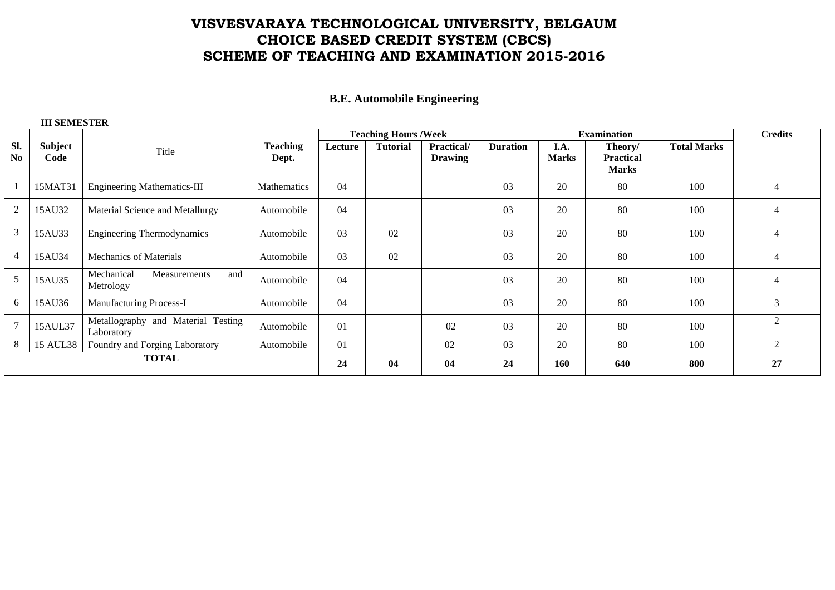# **VISVESVARAYA TECHNOLOGICAL UNIVERSITY, BELGAUM CHOICE BASED CREDIT SYSTEM (CBCS) SCHEME OF TEACHING AND EXAMINATION 2015-2016**

### **B.E. Automobile Engineering**

#### **III SEMESTER**

|                               |                 |                                                  | Teaching<br>Dept. | <b>Teaching Hours / Week</b> |                 |                              |                 | <b>Credits</b>       |                                             |                    |                             |
|-------------------------------|-----------------|--------------------------------------------------|-------------------|------------------------------|-----------------|------------------------------|-----------------|----------------------|---------------------------------------------|--------------------|-----------------------------|
| SI.<br>$\mathbf{N}\mathbf{0}$ | Subject<br>Code | Title                                            |                   | Lecture                      | <b>Tutorial</b> | Practical/<br><b>Drawing</b> | <b>Duration</b> | I.A.<br><b>Marks</b> | Theory/<br><b>Practical</b><br><b>Marks</b> | <b>Total Marks</b> |                             |
|                               | 15MAT31         | <b>Engineering Mathematics-III</b>               | Mathematics       | 04                           |                 |                              | 03              | 20                   | 80                                          | 100                | 4                           |
| 2                             | 15AU32          | Material Science and Metallurgy                  | Automobile        | 04                           |                 |                              | 03              | 20                   | 80                                          | 100                | $\overline{4}$              |
| 3                             | 15AU33          | <b>Engineering Thermodynamics</b>                | Automobile        | 03                           | 02              |                              | 03              | 20                   | 80                                          | 100                | 4                           |
| 4                             | 15AU34          | <b>Mechanics of Materials</b>                    | Automobile        | 03                           | 02              |                              | 03              | 20                   | 80                                          | 100                | $\overline{4}$              |
|                               | 15AU35          | Mechanical<br>Measurements<br>and<br>Metrology   | Automobile        | 04                           |                 |                              | 03              | 20                   | 80                                          | 100                | 4                           |
| <sub>0</sub>                  | 15AU36          | Manufacturing Process-I                          | Automobile        | 04                           |                 |                              | 03              | 20                   | 80                                          | 100                | 3                           |
|                               | 15AUL37         | Metallography and Material Testing<br>Laboratory | Automobile        | 01                           |                 | 02                           | 03              | 20                   | 80                                          | 100                | $\mathcal{D}_{\mathcal{A}}$ |
| 8                             | <b>15 AUL38</b> | Foundry and Forging Laboratory                   | Automobile        | 01                           |                 | 02                           | 03              | 20                   | 80                                          | 100                | 2                           |
| <b>TOTAL</b>                  |                 |                                                  |                   | 24                           | 04              | 04                           | 24              | 160                  | 640                                         | 800                | 27                          |